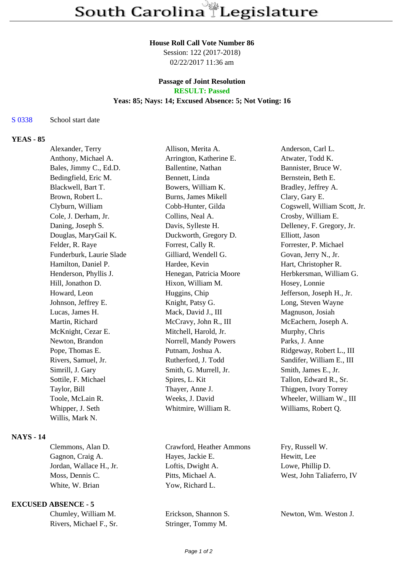### **House Roll Call Vote Number 86**

Session: 122 (2017-2018) 02/22/2017 11:36 am

# **Passage of Joint Resolution**

**RESULT: Passed**

# **Yeas: 85; Nays: 14; Excused Absence: 5; Not Voting: 16**

#### S 0338 School start date

# **YEAS - 85**

| Alexander, Terry         | Allison, Merita A.      | Anderson, Carl L.            |
|--------------------------|-------------------------|------------------------------|
| Anthony, Michael A.      | Arrington, Katherine E. | Atwater, Todd K.             |
| Bales, Jimmy C., Ed.D.   | Ballentine, Nathan      | Bannister, Bruce W.          |
| Bedingfield, Eric M.     | Bennett, Linda          | Bernstein, Beth E.           |
| Blackwell, Bart T.       | Bowers, William K.      | Bradley, Jeffrey A.          |
| Brown, Robert L.         | Burns, James Mikell     | Clary, Gary E.               |
| Clyburn, William         | Cobb-Hunter, Gilda      | Cogswell, William Scott, Jr. |
| Cole, J. Derham, Jr.     | Collins, Neal A.        | Crosby, William E.           |
| Daning, Joseph S.        | Davis, Sylleste H.      | Delleney, F. Gregory, Jr.    |
| Douglas, MaryGail K.     | Duckworth, Gregory D.   | Elliott, Jason               |
| Felder, R. Raye          | Forrest, Cally R.       | Forrester, P. Michael        |
| Funderburk, Laurie Slade | Gilliard, Wendell G.    | Govan, Jerry N., Jr.         |
| Hamilton, Daniel P.      | Hardee, Kevin           | Hart, Christopher R.         |
| Henderson, Phyllis J.    | Henegan, Patricia Moore | Herbkersman, William G.      |
| Hill, Jonathon D.        | Hixon, William M.       | Hosey, Lonnie                |
| Howard, Leon             | Huggins, Chip           | Jefferson, Joseph H., Jr.    |
| Johnson, Jeffrey E.      | Knight, Patsy G.        | Long, Steven Wayne           |
| Lucas, James H.          | Mack, David J., III     | Magnuson, Josiah             |
| Martin, Richard          | McCravy, John R., III   | McEachern, Joseph A.         |
| McKnight, Cezar E.       | Mitchell, Harold, Jr.   | Murphy, Chris                |
| Newton, Brandon          | Norrell, Mandy Powers   | Parks, J. Anne               |
| Pope, Thomas E.          | Putnam, Joshua A.       | Ridgeway, Robert L., III     |
| Rivers, Samuel, Jr.      | Rutherford, J. Todd     | Sandifer, William E., III    |
| Simrill, J. Gary         | Smith, G. Murrell, Jr.  | Smith, James E., Jr.         |
| Sottile, F. Michael      | Spires, L. Kit          | Tallon, Edward R., Sr.       |
| Taylor, Bill             | Thayer, Anne J.         | Thigpen, Ivory Torrey        |
| Toole, McLain R.         | Weeks, J. David         | Wheeler, William W., III     |
| Whipper, J. Seth         | Whitmire, William R.    | Williams, Robert Q.          |
| Willis, Mark N.          |                         |                              |
|                          |                         |                              |

# **NAYS - 14**

| Clemmons, Alan D.       | Crawford, Heath   |
|-------------------------|-------------------|
| Gagnon, Craig A.        | Hayes, Jackie E.  |
| Jordan, Wallace H., Jr. | Loftis, Dwight A  |
| Moss, Dennis C.         | Pitts, Michael A. |
| White, W. Brian         | Yow. Richard L.   |
|                         |                   |

# **EXCUSED ABSENCE - 5**

| Chumley, William M.     |
|-------------------------|
| Rivers, Michael F., Sr. |

Fry, Russell W. E. Hewitt, Lee

Stringer, Tommy M.

 $J_x$ ht A. Lowe, Phillip D. el A. West, John Taliaferro, IV

Erickson, Shannon S. Newton, Wm. Weston J.